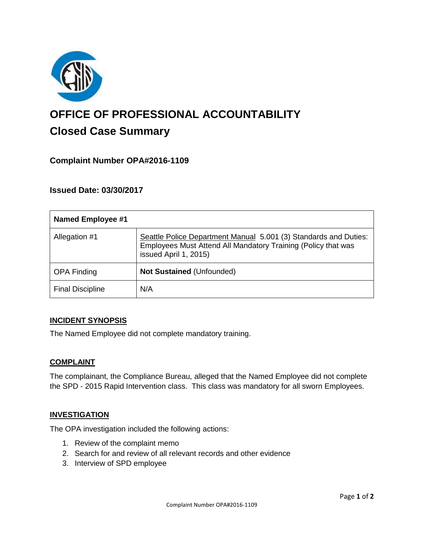

# **OFFICE OF PROFESSIONAL ACCOUNTABILITY Closed Case Summary**

# **Complaint Number OPA#2016-1109**

## **Issued Date: 03/30/2017**

| <b>Named Employee #1</b> |                                                                                                                                                            |
|--------------------------|------------------------------------------------------------------------------------------------------------------------------------------------------------|
| Allegation #1            | Seattle Police Department Manual 5.001 (3) Standards and Duties:<br>Employees Must Attend All Mandatory Training (Policy that was<br>issued April 1, 2015) |
| <b>OPA Finding</b>       | Not Sustained (Unfounded)                                                                                                                                  |
| <b>Final Discipline</b>  | N/A                                                                                                                                                        |

#### **INCIDENT SYNOPSIS**

The Named Employee did not complete mandatory training.

#### **COMPLAINT**

The complainant, the Compliance Bureau, alleged that the Named Employee did not complete the SPD - 2015 Rapid Intervention class. This class was mandatory for all sworn Employees.

#### **INVESTIGATION**

The OPA investigation included the following actions:

- 1. Review of the complaint memo
- 2. Search for and review of all relevant records and other evidence
- 3. Interview of SPD employee